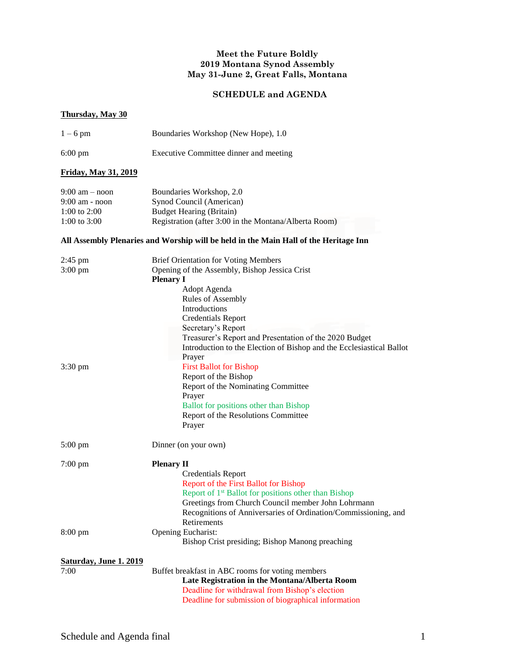## **Meet the Future Boldly 2019 Montana Synod Assembly May 31-June 2, Great Falls, Montana**

## **SCHEDULE and AGENDA**

## **Thursday, May 30**

| $1-6$ pm                                                                   | Boundaries Workshop (New Hope), 1.0                                                                                                                                                                                                                                                                                                                                                                     |
|----------------------------------------------------------------------------|---------------------------------------------------------------------------------------------------------------------------------------------------------------------------------------------------------------------------------------------------------------------------------------------------------------------------------------------------------------------------------------------------------|
| $6:00 \text{ pm}$                                                          | Executive Committee dinner and meeting                                                                                                                                                                                                                                                                                                                                                                  |
| Friday, May 31, 2019                                                       |                                                                                                                                                                                                                                                                                                                                                                                                         |
| $9:00$ am $-$ noon<br>$9:00$ am - noon<br>1:00 to $2:00$<br>1:00 to $3:00$ | Boundaries Workshop, 2.0<br>Synod Council (American)<br><b>Budget Hearing (Britain)</b><br>Registration (after 3:00 in the Montana/Alberta Room)                                                                                                                                                                                                                                                        |
|                                                                            | All Assembly Plenaries and Worship will be held in the Main Hall of the Heritage Inn                                                                                                                                                                                                                                                                                                                    |
| $2:45 \text{ pm}$<br>$3:00 \text{ pm}$                                     | <b>Brief Orientation for Voting Members</b><br>Opening of the Assembly, Bishop Jessica Crist<br><b>Plenary I</b><br>Adopt Agenda<br>Rules of Assembly<br>Introductions<br><b>Credentials Report</b><br>Secretary's Report<br>Treasurer's Report and Presentation of the 2020 Budget<br>Introduction to the Election of Bishop and the Ecclesiastical Ballot<br>Prayer<br><b>First Ballot for Bishop</b> |
| $3:30 \text{ pm}$                                                          | Report of the Bishop<br>Report of the Nominating Committee<br>Prayer<br><b>Ballot</b> for positions other than Bishop<br>Report of the Resolutions Committee<br>Prayer                                                                                                                                                                                                                                  |
| $5:00$ pm                                                                  | Dinner (on your own)                                                                                                                                                                                                                                                                                                                                                                                    |
| $7:00$ pm                                                                  | <b>Plenary II</b><br><b>Credentials Report</b><br>Report of the First Ballot for Bishop<br>Report of 1 <sup>st</sup> Ballot for positions other than Bishop<br>Greetings from Church Council member John Lohrmann<br>Recognitions of Anniversaries of Ordination/Commissioning, and<br>Retirements                                                                                                      |
| $8:00 \text{ pm}$                                                          | Opening Eucharist:<br>Bishop Crist presiding; Bishop Manong preaching                                                                                                                                                                                                                                                                                                                                   |
| Saturday, June 1. 2019<br>7:00                                             | Buffet breakfast in ABC rooms for voting members<br>Late Registration in the Montana/Alberta Room<br>Deadline for withdrawal from Bishop's election<br>Deadline for submission of biographical information                                                                                                                                                                                              |